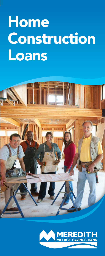# Home Home Construction Construction Loans Loans



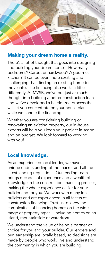

## Making your dream home a reality.

There's a lot of thought that goes into designing and building your dream home – How many bedrooms? Carpet or hardwood? A gourmet kitchen? It can be even more exciting and challenging than finding an existing home to move into. The financing also works a little differently. At MVSB, we've put just as much thought into building a better construction loan and we've developed a hassle-free process that will let you concentrate on your house plans while we handle the financing.

Whether you are considering building or renovating an existing property, our in-house experts will help you keep your project in scope and on budget. We look forward to working with you!

## Local knowledge.

As an experienced local lender, we have a unique understanding of the market and all the latest lending regulations. Our lending team brings decades of experience and a wealth of knowledge in the construction financing process, making the whole experience easier for your builder and for you. We work with many local builders and are experienced in all facets of construction financing. Trust us to know the complexities of financing homes on the wide range of property types – including homes on an island, mountainside or waterfront.

We understand the value of being a partner of choice for you and your builder. Our lenders and our leadership are locally based, so decisions are made by people who work, live and understand the community in which you are building.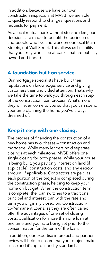In addition, because we have our own construction inspectors at MVSB, we are able to quickly respond to changes, questions and requests for payment.

As a local mutual bank without stockholders, our decisions are made to benefit the businesses and people who live and work on our local Main Streets, not Wall Street. This allows us flexibility that you likely won't see at banks that are publicly owned and traded.

### A foundation built on service.

Our mortgage specialists have built their reputations on knowledge, service and giving customers their undivided attention. That's why we take the time to walk you through each step of the construction loan process. What's more, they will even come to you so that you can spend your time planning the home you've always dreamed of.

# Keep it easy with one closing.

The process of financing the construction of a new home has two phases – construction and mortgage. While many lenders hold separate closings at each milestone, MVSB offers one single closing for both phases. While your house is being built, you pay only interest on land (if applicable), construction costs, and any escrow amount, if applicable. Contractors are paid as each portion of the project is completed during the construction phase, helping to keep your home on budget. When the construction term is complete, the loan switches to a traditional principal and interest loan with the rate and term you originally closed on. Constructionto-Permanent Loans, as they are often called, offer the advantages of one set of closing costs, qualification for more than one loan at one time and your rate being set prior to the consummation for the term of the loan.

In addition, our expertise in project and partner review will help to ensure that your project makes sense and it's up to industry standards.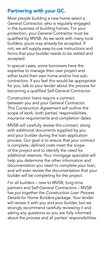# Partnering with your GC.

Most people building a new home select a General Contractor, who is regularly engaged in the business of building homes. For your protection, your General Contractor must be qualified by MVSB. As we work with many local builders, yours may already be accepted. If not, we will supply easy-to-use instructions and forms that your builder needs to be vetted and accepted.

In special cases, some borrowers have the expertise to manage their own project and either build their own home and/or hire subcontractors. If you feel this would be appropriate for you, talk to your lender about the process for becoming a qualified Self-General Contractor.

Construction loans require a contract between you and your General Contractor. This Construction Agreement will outline the scope of work, both parties' responsibilities, insurance requirements and completion dates.

MVSB will carefully review this contract, along with additional documents supplied by you and your builder during the loan application process. Our goal is to ensure that your contract is complete, defined costs meet the scope of the project and to identify the need for additional reserves. Your mortgage specialist will help you determine the other information and documentation you need to complete your loan, and will even review the documentation that your builder will be completing for the project.

For all builders – new to MVSB, long-time partners and Self-General Contractors – MVSB has put together the *Construction Loan Process Details for Home Builders* package. Your lender will review it with you and your builder, but we strongly recommend carefully reviewing it and asking any questions so you are fully informed about the process and all parties' responsibilities.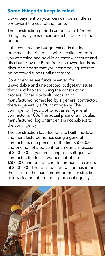# Some things to keep in mind.

Down payment on your loan can be as little as 5% toward the cost of the home.

The construction period can be up to 12 months, though many finish their project in quicker time periods.

If the construction budget exceeds the loan proceeds, the difference will be collected from you at closing and held in an escrow account and distributed by the Bank. Your escrowed funds are disbursed first so that you aren't paying interest on borrowed funds until necessary.

Contingencies are funds reserved for unavoidable and unexpected budgetary issues that could happen during the construction process. For all site built, modular or manufactured homes led by a general contractor, there is generally a 5% contingency. The contingency if you opt to act as self-general contractor is 10%. The actual price of a modular, manufactured, log or timber it is not subject to the contingency.

The construction loan fee for site built, modular and manufactured homes using a general contractor is one percent of the first \$500,000 and one-half of a percent for amounts in excess of \$500,000. If you are acting as a self-general contractor, the fee is two percent of the first \$500,000 and one percent for amounts in excess of \$500,000. The total loan fee will be based on the lesser of the loan amount or the construction holdback amount, excluding the contingency.

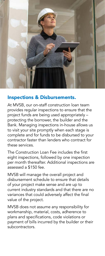

#### Inspections & Disbursements.

At MVSB, our on-staff construction loan team provides regular inspections to ensure that the project funds are being used appropriately – protecting the borrower, the builder and the Bank. Managing inspections in-house allows us to visit your site promptly when each stage is complete and for funds to be disbursed to your contractor faster than lenders who contract for these services.

The Construction Loan Fee includes the first eight inspections, followed by one inspection per month thereafter. Additional inspections are assessed a \$150 fee.

MVSB will manage the overall project and disbursement schedule to ensure that details of your project make sense and are up to current industry standards and that there are no variances that could adversely affect the final value of the project.

MVSB does not assume any responsibility for workmanship, material, costs, adherence to plans and specifications, code violations or payment of bills incurred by the builder or their subcontractors.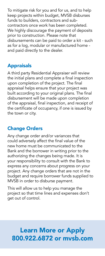To mitigate risk for you and for us, and to help keep projects within budget, MVSB disburses funds to builders, contractors and subcontractors once work has been completed. We highly discourage the payment of deposits prior to construction. Please note that disbursements can be paid to order a kit - such as for a log, modular or manufactured home and paid directly to the dealer.

# Appraisals

A third party Residential Appraiser will review the initial plans and complete a final inspection upon completion of the project. The final appraisal helps ensure that your project was built according to your original plans. The final disbursement will be made upon completion of the appraisal, final inspection, and receipt of the certificate of occupancy, if one is issued by the town or city.

# Change Orders

Any change order and/or variances that could adversely affect the final value of the new home must be communicated to the Bank and the borrower in writing prior to the authorizing the changes being made. It is your responsibility to consult with the Bank to express any concerns about progress on your project. Any change orders that are not in the budget and require borrower funds supplied to MVSB in order to disburse payment.

This will allow us to help you manage the project so that time lines and expenses don't get out of control.

# Learn More or Apply 800.922.6872 or mvsb.com